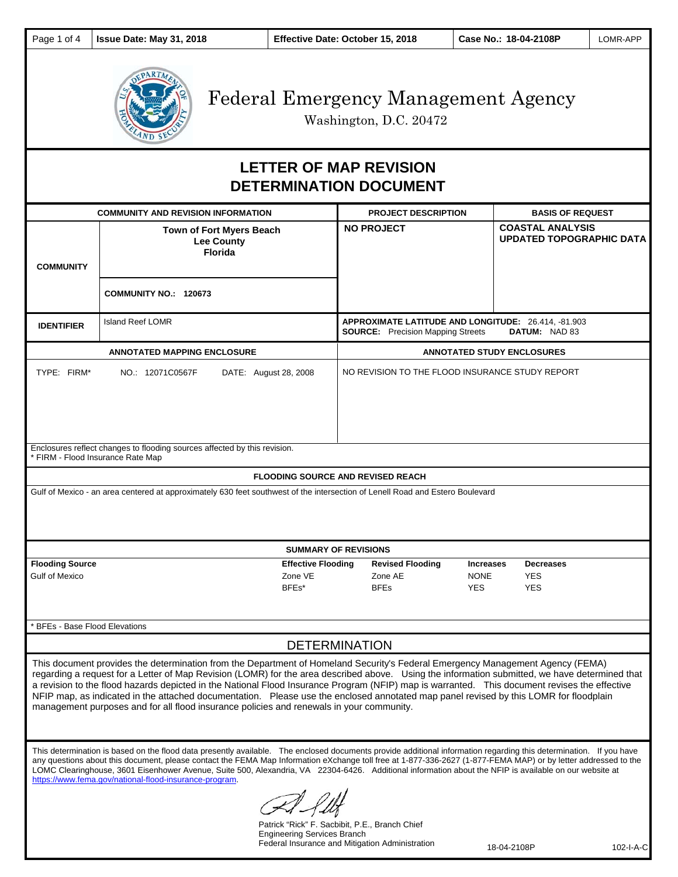

Washington, D.C. 20472

# **LETTER OF MAP REVISION DETERMINATION DOCUMENT**

| <b>COMMUNITY AND REVISION INFORMATION</b>                                                                                                                                                                                                                                                                                                                                                                                                                                                                                                                                                                                                                                                                                                                                                                                                    |                                                                        | <b>PROJECT DESCRIPTION</b>                                                                                       | <b>BASIS OF REQUEST</b>                                    |
|----------------------------------------------------------------------------------------------------------------------------------------------------------------------------------------------------------------------------------------------------------------------------------------------------------------------------------------------------------------------------------------------------------------------------------------------------------------------------------------------------------------------------------------------------------------------------------------------------------------------------------------------------------------------------------------------------------------------------------------------------------------------------------------------------------------------------------------------|------------------------------------------------------------------------|------------------------------------------------------------------------------------------------------------------|------------------------------------------------------------|
| <b>COMMUNITY</b>                                                                                                                                                                                                                                                                                                                                                                                                                                                                                                                                                                                                                                                                                                                                                                                                                             | <b>Town of Fort Myers Beach</b><br><b>Lee County</b><br><b>Florida</b> | <b>NO PROJECT</b>                                                                                                | <b>COASTAL ANALYSIS</b><br><b>UPDATED TOPOGRAPHIC DATA</b> |
|                                                                                                                                                                                                                                                                                                                                                                                                                                                                                                                                                                                                                                                                                                                                                                                                                                              | <b>COMMUNITY NO.: 120673</b>                                           |                                                                                                                  |                                                            |
| <b>IDENTIFIER</b>                                                                                                                                                                                                                                                                                                                                                                                                                                                                                                                                                                                                                                                                                                                                                                                                                            | <b>Island Reef LOMR</b>                                                | APPROXIMATE LATITUDE AND LONGITUDE: 26.414, -81.903<br><b>SOURCE:</b> Precision Mapping Streets<br>DATUM: NAD 83 |                                                            |
| <b>ANNOTATED MAPPING ENCLOSURE</b>                                                                                                                                                                                                                                                                                                                                                                                                                                                                                                                                                                                                                                                                                                                                                                                                           |                                                                        | <b>ANNOTATED STUDY ENCLOSURES</b>                                                                                |                                                            |
| TYPE: FIRM*                                                                                                                                                                                                                                                                                                                                                                                                                                                                                                                                                                                                                                                                                                                                                                                                                                  | NO.: 12071C0567F<br>DATE: August 28, 2008                              | NO REVISION TO THE FLOOD INSURANCE STUDY REPORT                                                                  |                                                            |
| Enclosures reflect changes to flooding sources affected by this revision.<br>* FIRM - Flood Insurance Rate Map                                                                                                                                                                                                                                                                                                                                                                                                                                                                                                                                                                                                                                                                                                                               |                                                                        |                                                                                                                  |                                                            |
| <b>FLOODING SOURCE AND REVISED REACH</b>                                                                                                                                                                                                                                                                                                                                                                                                                                                                                                                                                                                                                                                                                                                                                                                                     |                                                                        |                                                                                                                  |                                                            |
| Gulf of Mexico - an area centered at approximately 630 feet southwest of the intersection of Lenell Road and Estero Boulevard                                                                                                                                                                                                                                                                                                                                                                                                                                                                                                                                                                                                                                                                                                                |                                                                        |                                                                                                                  |                                                            |
| <b>SUMMARY OF REVISIONS</b>                                                                                                                                                                                                                                                                                                                                                                                                                                                                                                                                                                                                                                                                                                                                                                                                                  |                                                                        |                                                                                                                  |                                                            |
| <b>Flooding Source</b><br><b>Gulf of Mexico</b>                                                                                                                                                                                                                                                                                                                                                                                                                                                                                                                                                                                                                                                                                                                                                                                              | <b>Effective Flooding</b><br>Zone VE<br>BFEs*                          | <b>Revised Flooding</b><br><b>Increases</b><br>Zone AE<br><b>NONE</b><br><b>YES</b><br><b>BFEs</b>               | <b>Decreases</b><br><b>YES</b><br><b>YES</b>               |
| <b>BFEs - Base Flood Elevations</b>                                                                                                                                                                                                                                                                                                                                                                                                                                                                                                                                                                                                                                                                                                                                                                                                          |                                                                        |                                                                                                                  |                                                            |
| <b>DETERMINATION</b>                                                                                                                                                                                                                                                                                                                                                                                                                                                                                                                                                                                                                                                                                                                                                                                                                         |                                                                        |                                                                                                                  |                                                            |
| This document provides the determination from the Department of Homeland Security's Federal Emergency Management Agency (FEMA)<br>regarding a request for a Letter of Map Revision (LOMR) for the area described above. Using the information submitted, we have determined that<br>a revision to the flood hazards depicted in the National Flood Insurance Program (NFIP) map is warranted. This document revises the effective<br>NFIP map, as indicated in the attached documentation. Please use the enclosed annotated map panel revised by this LOMR for floodplain<br>management purposes and for all flood insurance policies and renewals in your community.<br>This determination is based on the flood data presently available. The enclosed documents provide additional information regarding this determination. If you have |                                                                        |                                                                                                                  |                                                            |
| any questions about this document, please contact the FEMA Map Information eXchange toll free at 1-877-336-2627 (1-877-FEMA MAP) or by letter addressed to the<br>LOMC Clearinghouse, 3601 Eisenhower Avenue, Suite 500, Alexandria, VA 22304-6426. Additional information about the NFIP is available on our website at<br>https://www.fema.gov/national-flood-insurance-program.<br>$\neg l$ $\neg l$                                                                                                                                                                                                                                                                                                                                                                                                                                      |                                                                        |                                                                                                                  |                                                            |

CHA-Pelt

Patrick "Rick" F. Sacbibit, P.E., Branch Chief Engineering Services Branch Federal Insurance and Mitigation Administration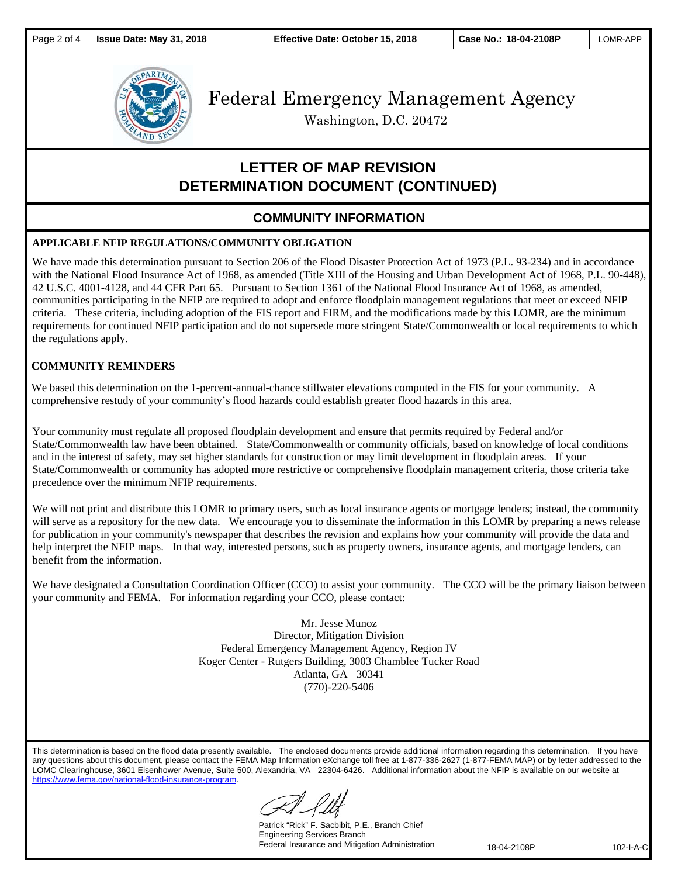

Washington, D.C. 20472

# **LETTER OF MAP REVISION DETERMINATION DOCUMENT (CONTINUED)**

### **COMMUNITY INFORMATION**

#### **APPLICABLE NFIP REGULATIONS/COMMUNITY OBLIGATION**

We have made this determination pursuant to Section 206 of the Flood Disaster Protection Act of 1973 (P.L. 93-234) and in accordance with the National Flood Insurance Act of 1968, as amended (Title XIII of the Housing and Urban Development Act of 1968, P.L. 90-448), 42 U.S.C. 4001-4128, and 44 CFR Part 65. Pursuant to Section 1361 of the National Flood Insurance Act of 1968, as amended, communities participating in the NFIP are required to adopt and enforce floodplain management regulations that meet or exceed NFIP criteria. These criteria, including adoption of the FIS report and FIRM, and the modifications made by this LOMR, are the minimum requirements for continued NFIP participation and do not supersede more stringent State/Commonwealth or local requirements to which the regulations apply.

#### **COMMUNITY REMINDERS**

We based this determination on the 1-percent-annual-chance stillwater elevations computed in the FIS for your community. A comprehensive restudy of your community's flood hazards could establish greater flood hazards in this area.

Your community must regulate all proposed floodplain development and ensure that permits required by Federal and/or State/Commonwealth law have been obtained. State/Commonwealth or community officials, based on knowledge of local conditions and in the interest of safety, may set higher standards for construction or may limit development in floodplain areas. If your State/Commonwealth or community has adopted more restrictive or comprehensive floodplain management criteria, those criteria take precedence over the minimum NFIP requirements.

We will not print and distribute this LOMR to primary users, such as local insurance agents or mortgage lenders; instead, the community will serve as a repository for the new data. We encourage you to disseminate the information in this LOMR by preparing a news release for publication in your community's newspaper that describes the revision and explains how your community will provide the data and help interpret the NFIP maps. In that way, interested persons, such as property owners, insurance agents, and mortgage lenders, can benefit from the information.

We have designated a Consultation Coordination Officer (CCO) to assist your community. The CCO will be the primary liaison between your community and FEMA. For information regarding your CCO, please contact:

> Mr. Jesse Munoz Director, Mitigation Division Federal Emergency Management Agency, Region IV Koger Center - Rutgers Building, 3003 Chamblee Tucker Road Atlanta, GA 30341 (770)-220-5406

This determination is based on the flood data presently available. The enclosed documents provide additional information regarding this determination. If you have any questions about this document, please contact the FEMA Map Information eXchange toll free at 1-877-336-2627 (1-877-FEMA MAP) or by letter addressed to the LOMC Clearinghouse, 3601 Eisenhower Avenue, Suite 500, Alexandria, VA 22304-6426. Additional information about the NFIP is available on our website at https://www.fema.gov/national-flood-insurance-program.

Patrick "Rick" F. Sacbibit, P.E., Branch Chief Engineering Services Branch Federal Insurance and Mitigation Administration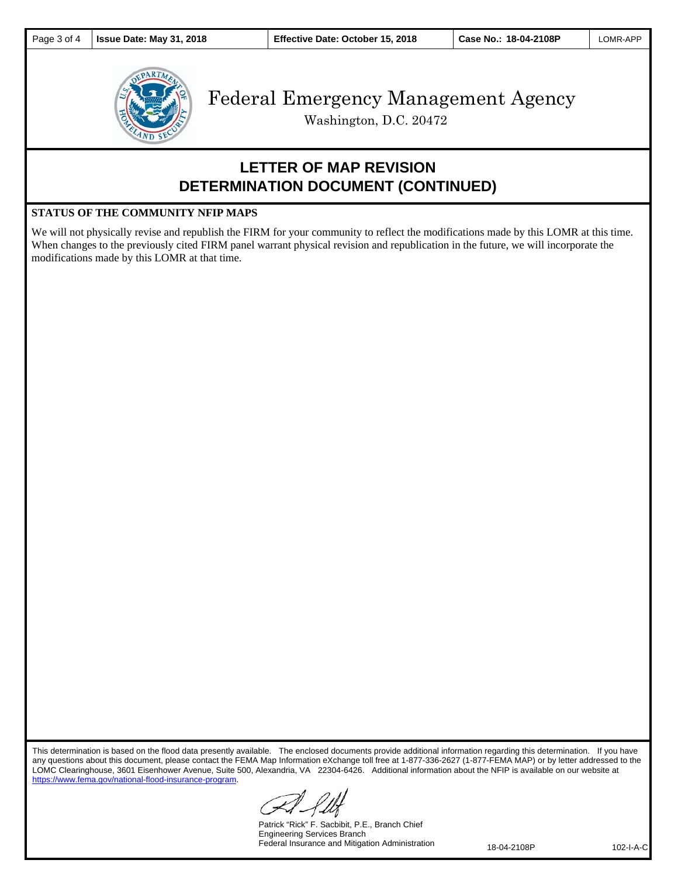

Washington, D.C. 20472

## **LETTER OF MAP REVISION DETERMINATION DOCUMENT (CONTINUED)**

#### **STATUS OF THE COMMUNITY NFIP MAPS**

We will not physically revise and republish the FIRM for your community to reflect the modifications made by this LOMR at this time. When changes to the previously cited FIRM panel warrant physical revision and republication in the future, we will incorporate the modifications made by this LOMR at that time.

This determination is based on the flood data presently available. The enclosed documents provide additional information regarding this determination. If you have any questions about this document, please contact the FEMA Map Information eXchange toll free at 1-877-336-2627 (1-877-FEMA MAP) or by letter addressed to the LOMC Clearinghouse, 3601 Eisenhower Avenue, Suite 500, Alexandria, VA 22304-6426. Additional information about the NFIP is available on our website at https://www.fema.gov/national-flood-insurance-program.

Patrick "Rick" F. Sacbibit, P.E., Branch Chief Engineering Services Branch Federal Insurance and Mitigation Administration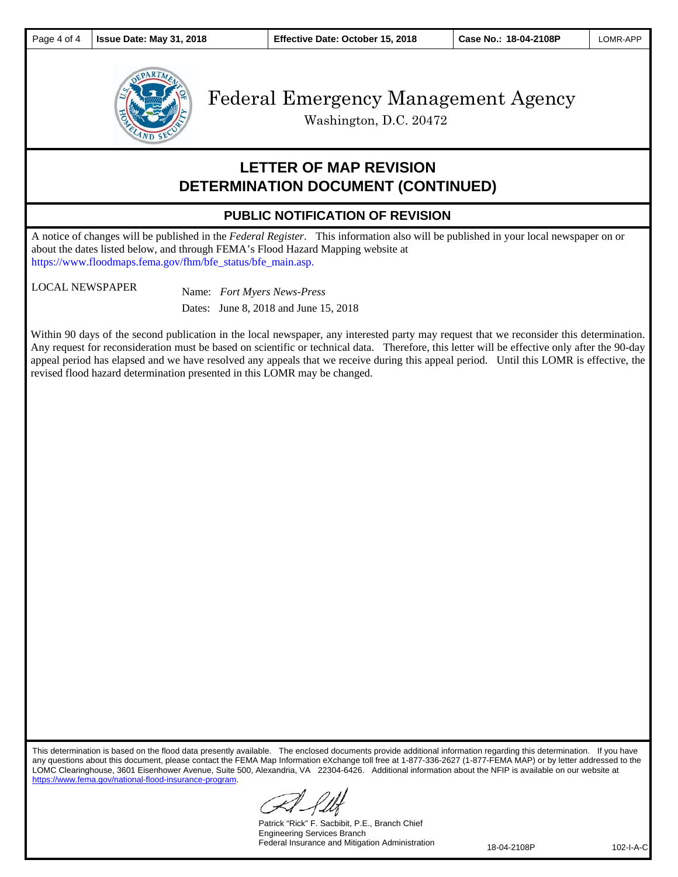

Washington, D.C. 20472

### **LETTER OF MAP REVISION DETERMINATION DOCUMENT (CONTINUED)**

### **PUBLIC NOTIFICATION OF REVISION**

A notice of changes will be published in the *Federal Register*. This information also will be published in your local newspaper on or about the dates listed below, and through FEMA's Flood Hazard Mapping website at https://www.floodmaps.fema.gov/fhm/bfe\_status/bfe\_main.asp.

LOCAL NEWSPAPER Name: *Fort Myers News-Press*  Dates: June 8, 2018 and June 15, 2018

Within 90 days of the second publication in the local newspaper, any interested party may request that we reconsider this determination. Any request for reconsideration must be based on scientific or technical data. Therefore, this letter will be effective only after the 90-day appeal period has elapsed and we have resolved any appeals that we receive during this appeal period. Until this LOMR is effective, the revised flood hazard determination presented in this LOMR may be changed.

This determination is based on the flood data presently available. The enclosed documents provide additional information regarding this determination. If you have any questions about this document, please contact the FEMA Map Information eXchange toll free at 1-877-336-2627 (1-877-FEMA MAP) or by letter addressed to the LOMC Clearinghouse, 3601 Eisenhower Avenue, Suite 500, Alexandria, VA 22304-6426. Additional information about the NFIP is available on our website at https://www.fema.gov/national-flood-insurance-program.

Patrick "Rick" F. Sacbibit, P.E., Branch Chief Engineering Services Branch Federal Insurance and Mitigation Administration